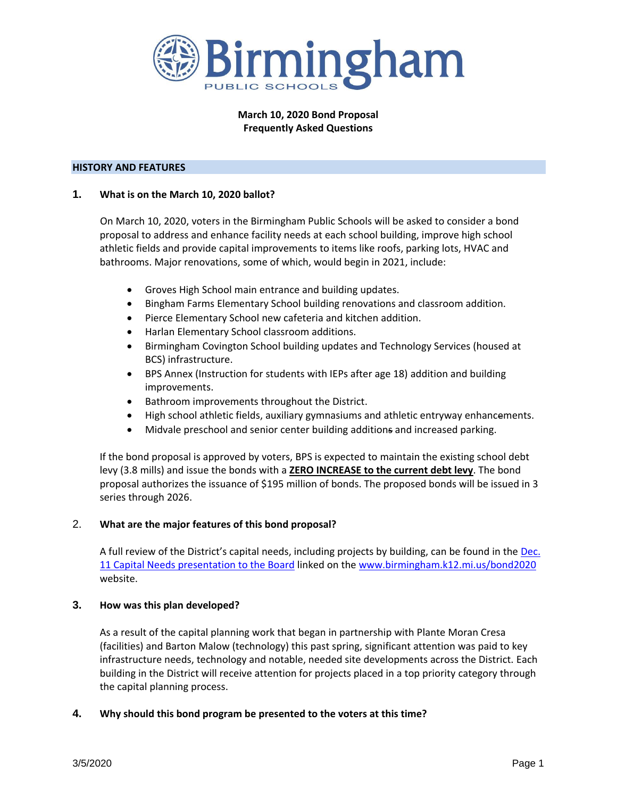

# **March 10, 2020 Bond Proposal Frequently Asked Questions**

# **HISTORY AND FEATURES**

# **1. What is on the March 10, 2020 ballot?**

On March 10, 2020, voters in the Birmingham Public Schools will be asked to consider a bond proposal to address and enhance facility needs at each school building, improve high school athletic fields and provide capital improvements to items like roofs, parking lots, HVAC and bathrooms. Major renovations, some of which, would begin in 2021, include:

- Groves High School main entrance and building updates.
- Bingham Farms Elementary School building renovations and classroom addition.
- Pierce Elementary School new cafeteria and kitchen addition.
- Harlan Elementary School classroom additions.
- Birmingham Covington School building updates and Technology Services (housed at BCS) infrastructure.
- BPS Annex (Instruction for students with IEPs after age 18) addition and building improvements.
- Bathroom improvements throughout the District.
- High school athletic fields, auxiliary gymnasiums and athletic entryway enhancements.
- Midvale preschool and senior center building additions and increased parking.

If the bond proposal is approved by voters, BPS is expected to maintain the existing school debt levy (3.8 mills) and issue the bonds with a **ZERO INCREASE to the current debt levy**. The bond proposal authorizes the issuance of \$195 million of bonds. The proposed bonds will be issued in 3 series through 2026.

#### 2. **What are the major features of this bond proposal?**

A full review of the District's capital needs, including projects by building, can be found in the [Dec.](https://www.birmingham.k12.mi.us/cms/lib/MI01908619/Centricity/Domain/2368/BPS%20Strategic%20Capital%20Planning%20Update%20-%20Board%20Meeting%20Update%20Presentation%2012%2011%202019.pdf)  [11 Capital Needs presentation to the Board](https://www.birmingham.k12.mi.us/cms/lib/MI01908619/Centricity/Domain/2368/BPS%20Strategic%20Capital%20Planning%20Update%20-%20Board%20Meeting%20Update%20Presentation%2012%2011%202019.pdf) linked on the [www.birmingham.k12.mi.us/bond2020](http://www.birmingham.k12.mi.us/bond2020) website.

#### **3. How was this plan developed?**

As a result of the capital planning work that began in partnership with Plante Moran Cresa (facilities) and Barton Malow (technology) this past spring, significant attention was paid to key infrastructure needs, technology and notable, needed site developments across the District. Each building in the District will receive attention for projects placed in a top priority category through the capital planning process.

#### **4. Why should this bond program be presented to the voters at this time?**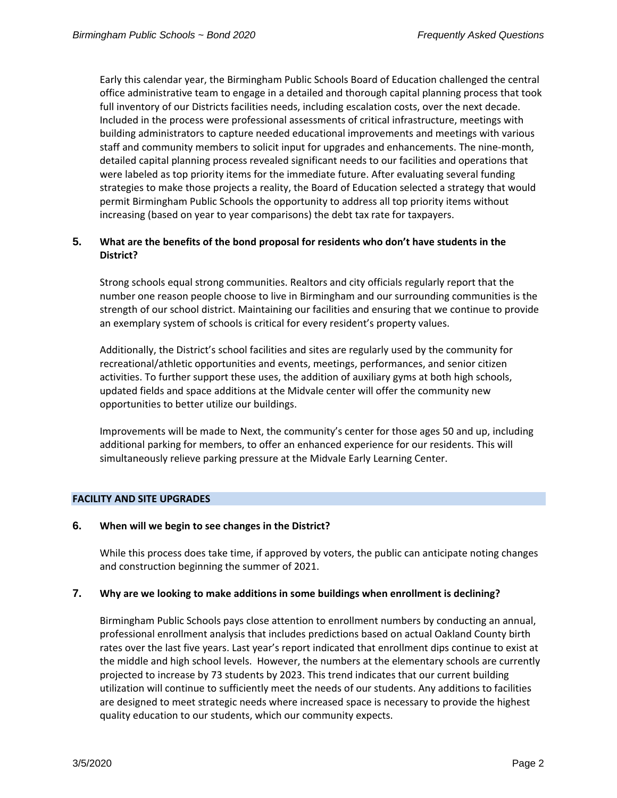Early this calendar year, the Birmingham Public Schools Board of Education challenged the central office administrative team to engage in a detailed and thorough capital planning process that took full inventory of our Districts facilities needs, including escalation costs, over the next decade. Included in the process were professional assessments of critical infrastructure, meetings with building administrators to capture needed educational improvements and meetings with various staff and community members to solicit input for upgrades and enhancements. The nine-month, detailed capital planning process revealed significant needs to our facilities and operations that were labeled as top priority items for the immediate future. After evaluating several funding strategies to make those projects a reality, the Board of Education selected a strategy that would permit Birmingham Public Schools the opportunity to address all top priority items without increasing (based on year to year comparisons) the debt tax rate for taxpayers.

# **5. What are the benefits of the bond proposal for residents who don't have students in the District?**

Strong schools equal strong communities. Realtors and city officials regularly report that the number one reason people choose to live in Birmingham and our surrounding communities is the strength of our school district. Maintaining our facilities and ensuring that we continue to provide an exemplary system of schools is critical for every resident's property values.

Additionally, the District's school facilities and sites are regularly used by the community for recreational/athletic opportunities and events, meetings, performances, and senior citizen activities. To further support these uses, the addition of auxiliary gyms at both high schools, updated fields and space additions at the Midvale center will offer the community new opportunities to better utilize our buildings.

Improvements will be made to Next, the community's center for those ages 50 and up, including additional parking for members, to offer an enhanced experience for our residents. This will simultaneously relieve parking pressure at the Midvale Early Learning Center.

# **FACILITY AND SITE UPGRADES**

# **6. When will we begin to see changes in the District?**

While this process does take time, if approved by voters, the public can anticipate noting changes and construction beginning the summer of 2021.

# **7. Why are we looking to make additions in some buildings when enrollment is declining?**

Birmingham Public Schools pays close attention to enrollment numbers by conducting an annual, professional enrollment analysis that includes predictions based on actual Oakland County birth rates over the last five years. Last year's report indicated that enrollment dips continue to exist at the middle and high school levels. However, the numbers at the elementary schools are currently projected to increase by 73 students by 2023. This trend indicates that our current building utilization will continue to sufficiently meet the needs of our students. Any additions to facilities are designed to meet strategic needs where increased space is necessary to provide the highest quality education to our students, which our community expects.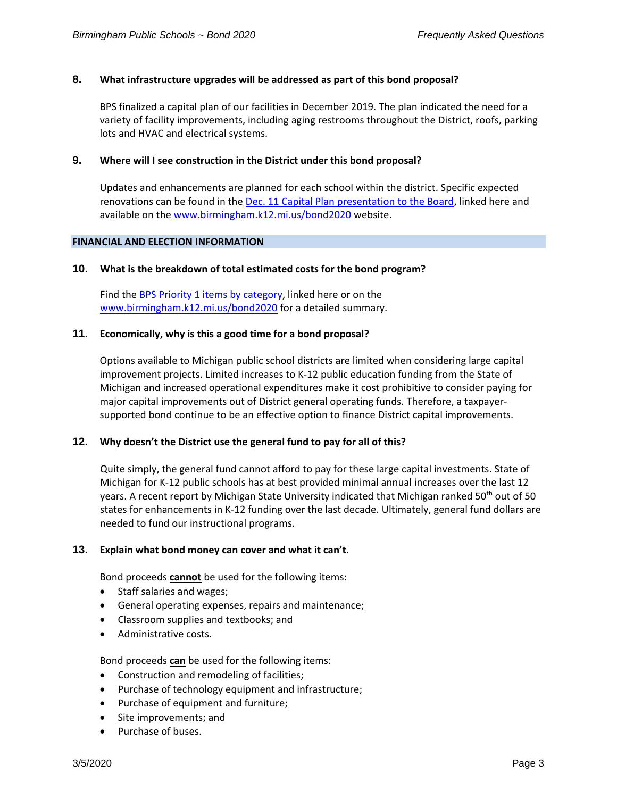# **8. What infrastructure upgrades will be addressed as part of this bond proposal?**

BPS finalized a capital plan of our facilities in December 2019. The plan indicated the need for a variety of facility improvements, including aging restrooms throughout the District, roofs, parking lots and HVAC and electrical systems.

## **9. Where will I see construction in the District under this bond proposal?**

Updates and enhancements are planned for each school within the district. Specific expected renovations can be found in the [Dec. 11 Capital Plan presentation to the Board,](https://www.birmingham.k12.mi.us/cms/lib/MI01908619/Centricity/Domain/2368/BPS%20Strategic%20Capital%20Planning%20Update%20-%20Board%20Meeting%20Update%20Presentation%2012-11-2019.pdf) linked here and available on th[e www.birmingham.k12.mi.us/bond2020](http://www.birmingham.k12.mi.us/bond2020) website.

### **FINANCIAL AND ELECTION INFORMATION**

### **10. What is the breakdown of total estimated costs for the bond program?**

Find the BPS Priority [1 items by category,](https://www.birmingham.k12.mi.us/cms/lib/MI01908619/Centricity/Domain/2368/BPS%20Priority%201%20By%20Category.pdf) linked here or on the [www.birmingham.k12.mi.us/bond2020](http://www.birmingham.k12.mi.us/bond2020) for a detailed summary.

### **11. Economically, why is this a good time for a bond proposal?**

Options available to Michigan public school districts are limited when considering large capital improvement projects. Limited increases to K-12 public education funding from the State of Michigan and increased operational expenditures make it cost prohibitive to consider paying for major capital improvements out of District general operating funds. Therefore, a taxpayersupported bond continue to be an effective option to finance District capital improvements.

#### **12. Why doesn't the District use the general fund to pay for all of this?**

Quite simply, the general fund cannot afford to pay for these large capital investments. State of Michigan for K-12 public schools has at best provided minimal annual increases over the last 12 years. A recent report by Michigan State University indicated that Michigan ranked 50<sup>th</sup> out of 50 states for enhancements in K-12 funding over the last decade. Ultimately, general fund dollars are needed to fund our instructional programs.

#### **13. Explain what bond money can cover and what it can't.**

Bond proceeds **cannot** be used for the following items:

- Staff salaries and wages;
- General operating expenses, repairs and maintenance;
- Classroom supplies and textbooks; and
- Administrative costs.

Bond proceeds **can** be used for the following items:

- Construction and remodeling of facilities;
- Purchase of technology equipment and infrastructure;
- Purchase of equipment and furniture;
- Site improvements; and
- Purchase of buses.